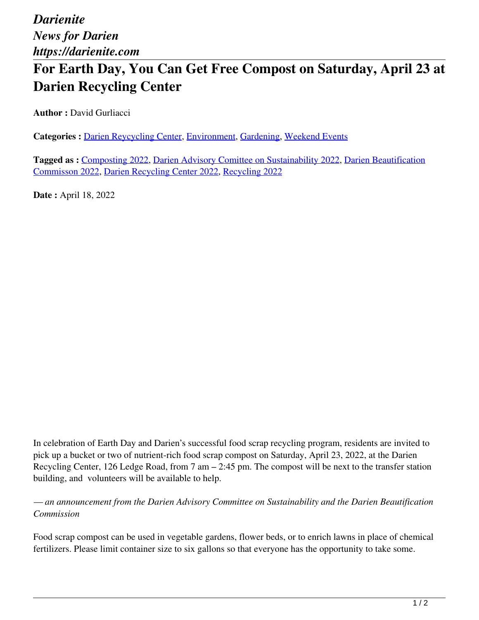## **For Earth Day, You Can Get Free Compost on Saturday, April 23 at Darien Recycling Center**

**Author :** David Gurliacci

Categories : [Darien Reycycling Center](https://darienite.com/category/living/darien-reycycling-center), Environment, Gardening, Weekend Events

**Tagged as :** Composting 2022, Darien Advisory Comittee on Sustainability 2022, Darien Beautification Commisson 2022, Darien Recycling Center 2022, Recycling 2022

**Date :** April 18, 2022

In celebration of Earth Day and Darien's successful food scrap recycling program, residents are invited to pick up a bucket or two of nutrient-rich food scrap compost on Saturday, April 23, 2022, at the Darien Recycling Center, 126 Ledge Road, from 7 am – 2:45 pm. The compost will be next to the transfer station building, and volunteers will be available to help.

*— an announcement from the Darien Advisory Committee on Sustainability and the Darien Beautification Commission*

Food scrap compost can be used in vegetable gardens, flower beds, or to enrich lawns in place of chemical fertilizers. Please limit container size to six gallons so that everyone has the opportunity to take some.